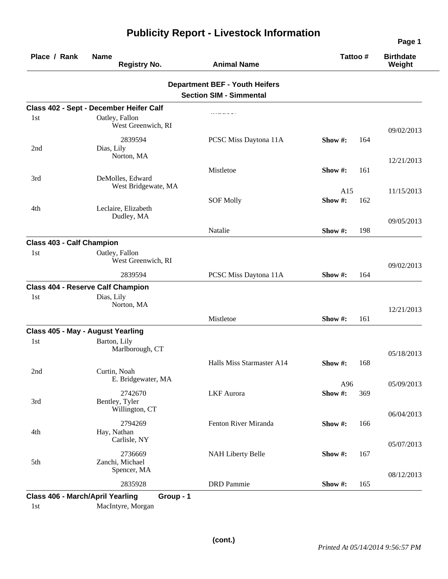| Place / Rank                     | <b>Name</b><br><b>Registry No.</b>        | <b>Animal Name</b>                                                      | Tattoo#              | <b>Birthdate</b><br>Weight |
|----------------------------------|-------------------------------------------|-------------------------------------------------------------------------|----------------------|----------------------------|
|                                  |                                           | <b>Department BEF - Youth Heifers</b><br><b>Section SIM - Simmental</b> |                      |                            |
|                                  | Class 402 - Sept - December Heifer Calf   |                                                                         |                      |                            |
| 1st                              | Oatley, Fallon<br>West Greenwich, RI      |                                                                         |                      | 09/02/2013                 |
| 2nd                              | 2839594<br>Dias, Lily<br>Norton, MA       | PCSC Miss Daytona 11A                                                   | 164<br>Show $\#$ :   |                            |
| 3rd                              | DeMolles, Edward<br>West Bridgewate, MA   | Mistletoe                                                               | Show $#$ :<br>161    | 12/21/2013                 |
| 4th                              | Leclaire, Elizabeth                       | <b>SOF Molly</b>                                                        | A15<br>Show#:<br>162 | 11/15/2013                 |
|                                  | Dudley, MA                                | Natalie                                                                 | Show $#$ :<br>198    | 09/05/2013                 |
| <b>Class 403 - Calf Champion</b> |                                           |                                                                         |                      |                            |
| 1 <sub>st</sub>                  | Oatley, Fallon<br>West Greenwich, RI      |                                                                         |                      | 09/02/2013                 |
|                                  | 2839594                                   | PCSC Miss Daytona 11A                                                   | Show #:<br>164       |                            |
|                                  | <b>Class 404 - Reserve Calf Champion</b>  |                                                                         |                      |                            |
| 1st                              | Dias, Lily<br>Norton, MA                  |                                                                         |                      | 12/21/2013                 |
|                                  |                                           | Mistletoe                                                               | Show #:<br>161       |                            |
|                                  | Class 405 - May - August Yearling         |                                                                         |                      |                            |
| 1st                              | Barton, Lily<br>Marlborough, CT           |                                                                         |                      | 05/18/2013                 |
| 2nd                              | Curtin, Noah<br>E. Bridgewater, MA        | Halls Miss Starmaster A14                                               | 168<br>Show $#$ :    |                            |
| 3rd                              | 2742670<br>Bentley, Tyler                 | <b>LKF</b> Aurora                                                       | A96<br>Show#:<br>369 | 05/09/2013                 |
|                                  | Willington, CT<br>2794269                 | Fenton River Miranda                                                    | Show #:<br>166       | 06/04/2013                 |
| 4th                              | Hay, Nathan<br>Carlisle, NY               |                                                                         |                      | 05/07/2013                 |
| 5th                              | 2736669<br>Zanchi, Michael<br>Spencer, MA | <b>NAH Liberty Belle</b>                                                | 167<br>Show #:       |                            |
|                                  | 2835928                                   | <b>DRD</b> Pammie                                                       | Show #:<br>165       | 08/12/2013                 |

1st MacIntyre, Morgan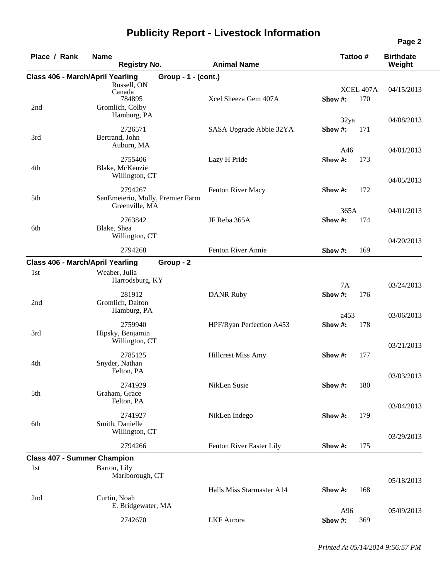| Place / Rank                            | <b>Name</b>  | <b>Registry No.</b>                                               |                                  | <b>Animal Name</b>        |            | Tattoo # |                  | <b>Birthdate</b><br>Weight |
|-----------------------------------------|--------------|-------------------------------------------------------------------|----------------------------------|---------------------------|------------|----------|------------------|----------------------------|
| Class 406 - March/April Yearling        |              |                                                                   | Group - 1 - (cont.)              |                           |            |          |                  |                            |
| 2nd                                     |              | Russell, ON<br>Canada<br>784895<br>Gromlich, Colby<br>Hamburg, PA |                                  | Xcel Sheeza Gem 407A      | Show $#$ : |          | XCEL 407A<br>170 | 04/15/2013                 |
| 3rd                                     |              | 2726571<br>Bertrand, John                                         |                                  | SASA Upgrade Abbie 32YA   | Show #:    | 32ya     | 171              | 04/08/2013                 |
| 4th                                     |              | Auburn, MA<br>2755406<br>Blake, McKenzie<br>Willington, CT        |                                  | Lazy H Pride              | Show#:     | A46      | 173              | 04/01/2013                 |
| 5th                                     |              | 2794267<br>Greenville, MA                                         | SanEmeterio, Molly, Premier Farm | Fenton River Macy         | Show #:    |          | 172              | 04/05/2013                 |
| 6th                                     | Blake, Shea  | 2763842<br>Willington, CT                                         |                                  | JF Reba 365A              | Show#:     | 365A     | 174              | 04/01/2013                 |
|                                         |              | 2794268                                                           |                                  | Fenton River Annie        | Show #:    |          | 169              | 04/20/2013                 |
| <b>Class 406 - March/April Yearling</b> |              |                                                                   | Group - 2                        |                           |            |          |                  |                            |
| 1st                                     |              | Weaber, Julia<br>Harrodsburg, KY                                  |                                  |                           |            | 7A       |                  | 03/24/2013                 |
| 2nd                                     |              | 281912<br>Gromlich, Dalton<br>Hamburg, PA                         |                                  | <b>DANR Ruby</b>          | Show#:     |          | 176              |                            |
| 3rd                                     |              | 2759940<br>Hipsky, Benjamin<br>Willington, CT                     |                                  | HPF/Ryan Perfection A453  | Show#:     | a453     | 178              | 03/06/2013                 |
| 4th                                     |              | 2785125<br>Snyder, Nathan<br>Felton, PA                           |                                  | <b>Hillcrest Miss Amy</b> | Show $#$ : |          | 177              | 03/21/2013                 |
| 5th                                     |              | 2741929<br>Graham, Grace<br>Felton, PA                            |                                  | NikLen Susie              | Show #:    |          | 180              | 03/03/2013                 |
| 6th                                     |              | 2741927<br>Smith, Danielle<br>Willington, CT                      |                                  | NikLen Indego             | Show #:    |          | 179              | 03/04/2013                 |
|                                         |              | 2794266                                                           |                                  | Fenton River Easter Lily  | Show #:    |          | 175              | 03/29/2013                 |
| <b>Class 407 - Summer Champion</b>      |              |                                                                   |                                  |                           |            |          |                  |                            |
| 1st                                     | Barton, Lily | Marlborough, CT                                                   |                                  |                           |            |          |                  | 05/18/2013                 |
| 2nd                                     | Curtin, Noah | E. Bridgewater, MA                                                |                                  | Halls Miss Starmaster A14 | Show #:    |          | 168              |                            |
|                                         |              | 2742670                                                           |                                  | <b>LKF</b> Aurora         | Show #:    | A96      | 369              | 05/09/2013                 |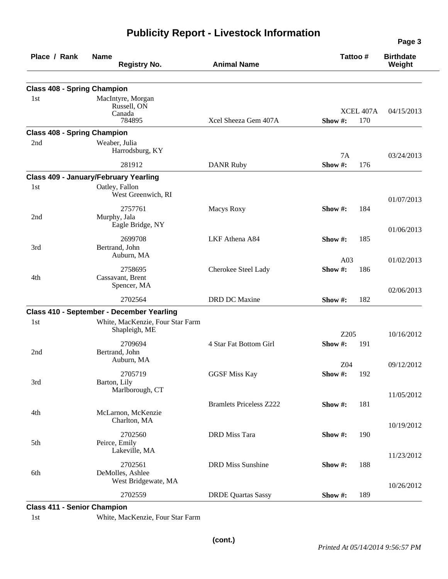| Place / Rank                       | <b>Name</b><br><b>Registry No.</b>                   | <b>Animal Name</b>             | Tattoo #                    | <b>Birthdate</b><br>Weight |
|------------------------------------|------------------------------------------------------|--------------------------------|-----------------------------|----------------------------|
| <b>Class 408 - Spring Champion</b> |                                                      |                                |                             |                            |
| 1st                                | MacIntyre, Morgan<br>Russell, ON<br>Canada<br>784895 | Xcel Sheeza Gem 407A           | XCEL 407A<br>Show #:<br>170 | 04/15/2013                 |
| <b>Class 408 - Spring Champion</b> |                                                      |                                |                             |                            |
| 2nd                                | Weaber, Julia<br>Harrodsburg, KY                     |                                | 7A                          | 03/24/2013                 |
|                                    | 281912                                               | <b>DANR Ruby</b>               | Show#:<br>176               |                            |
|                                    | <b>Class 409 - January/February Yearling</b>         |                                |                             |                            |
| 1st                                | Oatley, Fallon<br>West Greenwich, RI                 |                                |                             | 01/07/2013                 |
| 2nd                                | 2757761<br>Murphy, Jala<br>Eagle Bridge, NY          | Macys Roxy                     | Show #:<br>184              |                            |
| 3rd                                | 2699708<br>Bertrand, John                            | LKF Athena A84                 | Show#:<br>185               | 01/06/2013                 |
| 4th                                | Auburn, MA<br>2758695<br>Cassavant, Brent            | Cherokee Steel Lady            | A03<br>Show#:<br>186        | 01/02/2013                 |
|                                    | Spencer, MA                                          |                                |                             | 02/06/2013                 |
|                                    | 2702564                                              | DRD DC Maxine                  | 182<br>Show #:              |                            |
|                                    | Class 410 - September - December Yearling            |                                |                             |                            |
| 1st                                | White, MacKenzie, Four Star Farm<br>Shapleigh, ME    |                                | Z205                        | 10/16/2012                 |
| 2nd                                | 2709694<br>Bertrand, John                            | 4 Star Fat Bottom Girl         | Show#:<br>191               |                            |
|                                    | Auburn, MA                                           |                                | Z04                         | 09/12/2012                 |
| 3rd                                | 2705719<br>Barton, Lily<br>Marlborough, CT           | <b>GGSF Miss Kay</b>           | Show #:<br>192              |                            |
| 4th                                | McLarnon, McKenzie<br>Charlton, MA                   | <b>Bramlets Priceless Z222</b> | Show#:<br>181               | 11/05/2012                 |
| 5th                                | 2702560<br>Peirce, Emily<br>Lakeville, MA            | <b>DRD</b> Miss Tara           | 190<br>Show #:              | 10/19/2012                 |
| 6th                                | 2702561<br>DeMolles, Ashlee<br>West Bridgewate, MA   | <b>DRD</b> Miss Sunshine       | 188<br>Show#:               | 11/23/2012                 |
|                                    | 2702559                                              | <b>DRDE Quartas Sassy</b>      | Show #:<br>189              | 10/26/2012                 |

**Class 411 - Senior Champion** 

1st White, MacKenzie, Four Star Farm